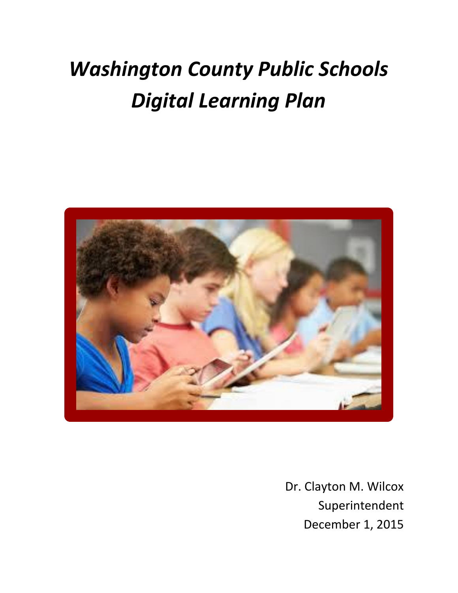# *Washington County Public Schools Digital Learning Plan*



Dr. Clayton M. Wilcox Superintendent December 1, 2015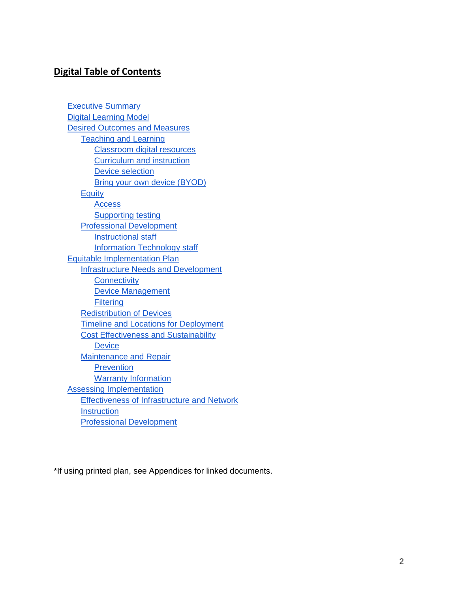# **Digital Table of Contents**

[Executive Summary](#page-1-0) [Digital Learning Model](#page-3-0) [Desired Outcomes and Measures](#page-3-1) [Teaching and Learning](#page-4-0) [Classroom digital resources](#page-4-1) [Curriculum and instruction](#page-7-0) [Device selection](#page-7-1) [Bring your own device \(BYOD\)](#page-8-0) **[Equity](#page-8-1) [Access](#page-8-2)** [Supporting testing](#page-9-0) [Professional Development](#page-10-0) [Instructional staff](#page-10-1) [Information Technology staff](#page-11-0) [Equitable Implementation Plan](#page-12-0) [Infrastructure Needs and Development](#page-12-1) **[Connectivity](#page-12-2)** [Device Management](#page-12-3) **[Filtering](#page-12-4)** [Redistribution of Devices](#page-13-0) [Timeline and Locations for Deployment](#page-13-1) [Cost Effectiveness and Sustainability](#page-14-0) **[Device](#page-14-0)** [Maintenance and Repair](#page-16-0) **[Prevention](#page-16-1)** [Warranty Information](#page-16-2) [Assessing Implementation](#page-17-0) [Effectiveness of Infrastructure and Network](#page-17-1) **[Instruction](#page-17-2)** [Professional Development](#page-18-0)

<span id="page-1-0"></span>\*If using printed plan, see Appendices for linked documents.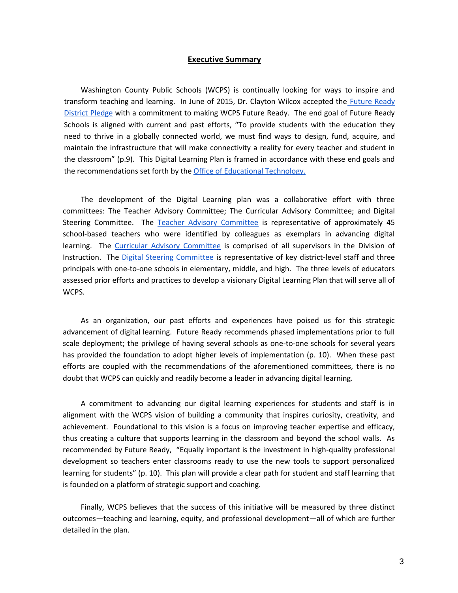#### **Executive Summary**

Washington County Public Schools (WCPS) is continually looking for ways to inspire and transform teaching and learning. In June of 2015, Dr. Clayton Wilcox accepted the [Future Ready](http://www.futurereadyschools.org/take-the-pledge)  [District Pledge](http://www.futurereadyschools.org/take-the-pledge) with a commitment to making WCPS Future Ready. The end goal of Future Ready Schools is aligned with current and past efforts, "To provide students with the education they need to thrive in a globally connected world, we must find ways to design, fund, acquire, and maintain the infrastructure that will make connectivity a reality for every teacher and student in the classroom" (p.9). This Digital Learning Plan is framed in accordance with these end goals and the recommendations set forth by th[e Office of Educational Technology.](http://tech.ed.gov/futureready/infrastructure/) 

The development of the Digital Learning plan was a collaborative effort with three committees: The Teacher Advisory Committee; The Curricular Advisory Committee; and Digital Steering Committee. The [Teacher Advisory Committee](https://docs.google.com/a/wcboe.k12.md.us/document/d/1n6c4k0mEiJG86g7bjmwy_r6JbQh91HUVKzlMp1Lgevo/edit?usp=sharing) is representative of approximately 45 school-based teachers who were identified by colleagues as exemplars in advancing digital learning. The [Curricular Advisory Committee](https://docs.google.com/a/wcboe.k12.md.us/document/d/1xUGMwJ9VEMTY7YAGLAK3x-rysD2m_rnXFCc2XLcU644/edit?usp=sharing) is comprised of all supervisors in the Division of Instruction. The [Digital Steering Committee](https://docs.google.com/a/wcboe.k12.md.us/document/d/1InOmNk3lDGknbCKzRWxbAQ_nLkSWgNZaJCTfE-xh2Lg/edit?usp=sharing) is representative of key district-level staff and three principals with one-to-one schools in elementary, middle, and high. The three levels of educators assessed prior efforts and practices to develop a visionary Digital Learning Plan that will serve all of WCPS.

As an organization, our past efforts and experiences have poised us for this strategic advancement of digital learning. Future Ready recommends phased implementations prior to full scale deployment; the privilege of having several schools as one-to-one schools for several years has provided the foundation to adopt higher levels of implementation (p. 10). When these past efforts are coupled with the recommendations of the aforementioned committees, there is no doubt that WCPS can quickly and readily become a leader in advancing digital learning.

A commitment to advancing our digital learning experiences for students and staff is in alignment with the WCPS vision of building a community that inspires curiosity, creativity, and achievement. Foundational to this vision is a focus on improving teacher expertise and efficacy, thus creating a culture that supports learning in the classroom and beyond the school walls. As recommended by Future Ready, "Equally important is the investment in high-quality professional development so teachers enter classrooms ready to use the new tools to support personalized learning for students" (p. 10). This plan will provide a clear path for student and staff learning that is founded on a platform of strategic support and coaching.

Finally, WCPS believes that the success of this initiative will be measured by three distinct outcomes—teaching and learning, equity, and professional development—all of which are further detailed in the plan.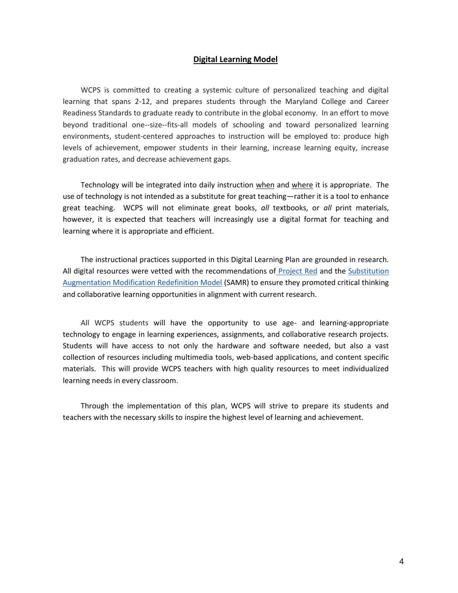#### **Digital Learning Model**

<span id="page-3-0"></span>WCPS is committed to creating a systemic culture of personalized teaching and digital learning that spans 2-12, and prepares students through the Maryland College and Career Readiness Standards to graduate ready to contribute in the global economy. In an effort to move beyond traditional one--size--fits-all models of schooling and toward personalized learning environments, student-centered approaches to instruction will be employed to: produce high levels of achievement, empower students in their learning, increase learning equity, increase graduation rates, and decrease achievement gaps.

Technology will be integrated into daily instruction when and where it is appropriate. The use of technology is not intended as a substitute for great teaching—rather it is a tool to enhance great teaching. WCPS will not eliminate great books, *all* textbooks, or *all* print materials, however, it is expected that teachers will increasingly use a digital format for teaching and learning where it is appropriate and efficient.

The instructional practices supported in this Digital Learning Plan are grounded in research. All digital resources were vetted with the recommendations of [Project Red](http://www.k12blueprint.com/sites/default/files/Project-RED-Technolgy-Factor.pdf) and the [Substitution](https://sites.google.com/a/msad60.org/technology-is-learning/samr-model)  [Augmentation Modification Redefinition Model](https://sites.google.com/a/msad60.org/technology-is-learning/samr-model) (SAMR) to ensure they promoted critical thinking and collaborative learning opportunities in alignment with current research.

All WCPS students will have the opportunity to use age- and learning-appropriate technology to engage in learning experiences, assignments, and collaborative research projects. Students will have access to not only the hardware and software needed, but also a vast collection of resources including multimedia tools, web-based applications, and content specific materials. This will provide WCPS teachers with high quality resources to meet individualized learning needs in every classroom.

<span id="page-3-1"></span>Through the implementation of this plan, WCPS will strive to prepare its students and teachers with the necessary skills to inspire the highest level of learning and achievement.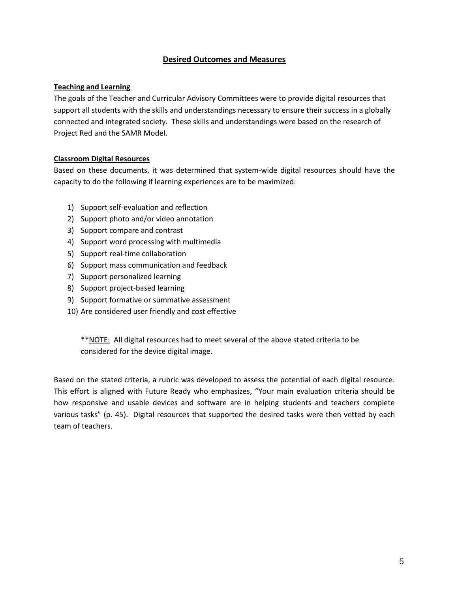# **Desired Outcomes and Measures**

#### <span id="page-4-0"></span>**Teaching and Learning**

The goals of the Teacher and Curricular Advisory Committees were to provide digital resources that support all students with the skills and understandings necessary to ensure their success in a globally connected and integrated society. These skills and understandings were based on the research of Project Red and the SAMR Model.

## <span id="page-4-1"></span>**Classroom Digital Resources**

Based on these documents, it was determined that system-wide digital resources should have the capacity to do the following if learning experiences are to be maximized:

- 1) Support self-evaluation and reflection
- 2) Support photo and/or video annotation
- 3) Support compare and contrast
- 4) Support word processing with multimedia
- 5) Support real-time collaboration
- 6) Support mass communication and feedback
- 7) Support personalized learning
- 8) Support project-based learning
- 9) Support formative or summative assessment
- 10) Are considered user friendly and cost effective

\*\*NOTE: All digital resources had to meet several of the above stated criteria to be considered for the device digital image.

Based on the stated criteria, a rubric was developed to assess the potential of each digital resource. This effort is aligned with Future Ready who emphasizes, "Your main evaluation criteria should be how responsive and usable devices and software are in helping students and teachers complete various tasks" (p. 45). Digital resources that supported the desired tasks were then vetted by each team of teachers.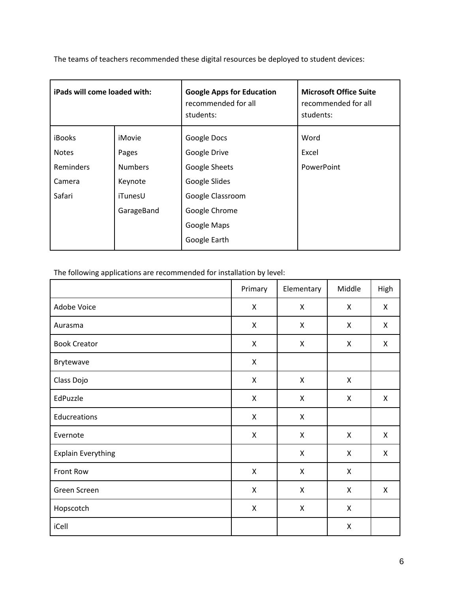| The teams of teachers recommended these digital resources be deployed to student devices: |  |
|-------------------------------------------------------------------------------------------|--|
|-------------------------------------------------------------------------------------------|--|

| iPads will come loaded with: |                | <b>Google Apps for Education</b><br>recommended for all<br>students: | <b>Microsoft Office Suite</b><br>recommended for all<br>students: |
|------------------------------|----------------|----------------------------------------------------------------------|-------------------------------------------------------------------|
| <b>iBooks</b>                | iMovie         | Google Docs                                                          | Word                                                              |
| <b>Notes</b>                 | Pages          | Google Drive                                                         | Excel                                                             |
| Reminders                    | <b>Numbers</b> | <b>Google Sheets</b>                                                 | PowerPoint                                                        |
| Camera                       | Keynote        | Google Slides                                                        |                                                                   |
| Safari                       | iTunesU        | Google Classroom                                                     |                                                                   |
| GarageBand                   |                | Google Chrome                                                        |                                                                   |
|                              |                | Google Maps                                                          |                                                                   |
|                              |                | Google Earth                                                         |                                                                   |

The following applications are recommended for installation by level:

|                           | Primary                   | Elementary         | Middle | High |
|---------------------------|---------------------------|--------------------|--------|------|
| Adobe Voice               | X                         | X                  | X      | X    |
| Aurasma                   | X                         | X                  | X      | X    |
| <b>Book Creator</b>       | $\pmb{\mathsf{X}}$        | $\pmb{\mathsf{X}}$ | X      | X    |
| Brytewave                 | X                         |                    |        |      |
| Class Dojo                | X                         | X                  | X      |      |
| EdPuzzle                  | $\pmb{\mathsf{X}}$        | $\pmb{\mathsf{X}}$ | X      | X    |
| Educreations              | X                         | X                  |        |      |
| Evernote                  | X                         | $\pmb{\mathsf{X}}$ | X      | X    |
| <b>Explain Everything</b> |                           | $\pmb{\mathsf{X}}$ | X      | X    |
| Front Row                 | $\boldsymbol{\mathsf{X}}$ | X                  | X      |      |
| Green Screen              | X                         | $\pmb{\mathsf{X}}$ | X      | X    |
| Hopscotch                 | $\pmb{\mathsf{X}}$        | $\pmb{\mathsf{X}}$ | X      |      |
| iCell                     |                           |                    | X      |      |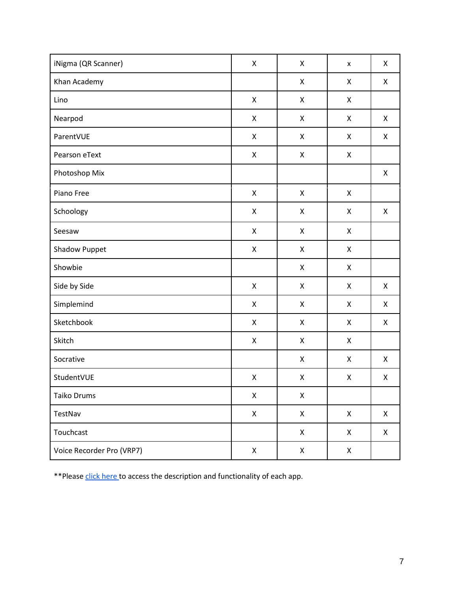| iNigma (QR Scanner)       | $\mathsf X$        | X | $\pmb{\mathsf{x}}$ | X |
|---------------------------|--------------------|---|--------------------|---|
| Khan Academy              |                    | Χ | X                  | X |
| Lino                      | $\pmb{\mathsf{X}}$ | Χ | X                  |   |
| Nearpod                   | X                  | Χ | X                  | X |
| ParentVUE                 | X                  | X | X                  | X |
| Pearson eText             | $\mathsf X$        | Χ | X                  |   |
| Photoshop Mix             |                    |   |                    | X |
| Piano Free                | X                  | X | X                  |   |
| Schoology                 | $\mathsf X$        | Χ | X                  | X |
| Seesaw                    | $\mathsf X$        | Χ | X                  |   |
| Shadow Puppet             | $\pmb{\mathsf{X}}$ | Χ | X                  |   |
| Showbie                   |                    | Χ | X                  |   |
| Side by Side              | $\pmb{\mathsf{X}}$ | Χ | X                  | X |
| Simplemind                | $\pmb{\mathsf{X}}$ | Χ | X                  | X |
| Sketchbook                | $\pmb{\mathsf{X}}$ | Χ | X                  | X |
| Skitch                    | $\mathsf X$        | X | X                  |   |
| Socrative                 |                    | X | X                  | X |
| StudentVUE                | $\pmb{\mathsf{X}}$ | Χ | X                  | X |
| Taiko Drums               | $\pmb{\mathsf{X}}$ | Χ |                    |   |
| TestNav                   | $\pmb{\mathsf{X}}$ | X | $\mathsf X$        | X |
| Touchcast                 |                    | X | Χ                  | X |
| Voice Recorder Pro (VRP7) | $\mathsf X$        | X | $\mathsf X$        |   |

\*\*Please [click here t](https://docs.google.com/a/wcboe.k12.md.us/document/d/1rWngzoD-UeNY7LcbSNI-8Yev5tIQAZRntRHcxPOLqGY/edit?usp=sharing)o access the description and functionality of each app.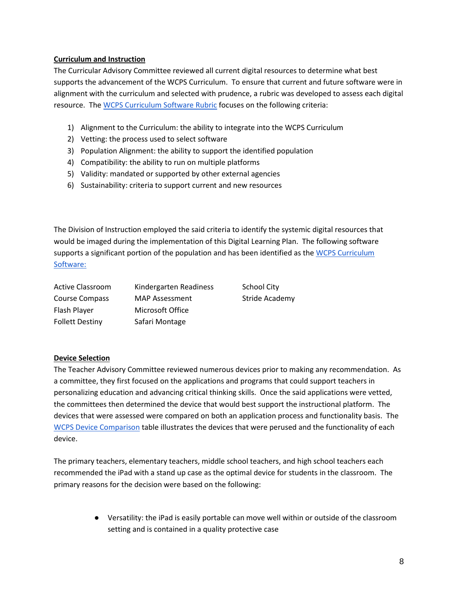## <span id="page-7-0"></span>**Curriculum and Instruction**

The Curricular Advisory Committee reviewed all current digital resources to determine what best supports the advancement of the WCPS Curriculum. To ensure that current and future software were in alignment with the curriculum and selected with prudence, a rubric was developed to assess each digital resource. The [WCPS Curriculum Software Rubric](https://docs.google.com/a/wcboe.k12.md.us/document/d/1LXfk1fsV9ESWVgDGOuxskpnHfGUgqRMADigt1BksmT0/edit?usp=sharing) focuses on the following criteria:

- 1) Alignment to the Curriculum: the ability to integrate into the WCPS Curriculum
- 2) Vetting: the process used to select software
- 3) Population Alignment: the ability to support the identified population
- 4) Compatibility: the ability to run on multiple platforms
- 5) Validity: mandated or supported by other external agencies
- 6) Sustainability: criteria to support current and new resources

The Division of Instruction employed the said criteria to identify the systemic digital resources that would be imaged during the implementation of this Digital Learning Plan. The following software supports a significant portion of the population and has been identified as the WCPS Curriculum [Software:](https://docs.google.com/a/wcboe.k12.md.us/document/d/1IznrIp-7zgIlCyh23lujFrOg1dx4x69zvKbLZ8zqQ_8/edit?usp=sharing)

| <b>Active Classroom</b> | Kindergarten Readiness | <b>School City</b> |
|-------------------------|------------------------|--------------------|
| Course Compass          | <b>MAP Assessment</b>  | Stride Academy     |
| Flash Player            | Microsoft Office       |                    |
| <b>Follett Destiny</b>  | Safari Montage         |                    |

#### <span id="page-7-1"></span>**Device Selection**

The Teacher Advisory Committee reviewed numerous devices prior to making any recommendation. As a committee, they first focused on the applications and programs that could support teachers in personalizing education and advancing critical thinking skills. Once the said applications were vetted, the committees then determined the device that would best support the instructional platform. The devices that were assessed were compared on both an application process and functionality basis. The [WCPS Device Comparison](https://docs.google.com/a/wcboe.k12.md.us/document/d/1ah3gwnKSFkiO4-X6qf_n_GWSJzmI4bMCR1_jdkFv3eo/edit?usp=sharing) table illustrates the devices that were perused and the functionality of each device.

The primary teachers, elementary teachers, middle school teachers, and high school teachers each recommended the iPad with a stand up case as the optimal device for students in the classroom. The primary reasons for the decision were based on the following:

> ● Versatility: the iPad is easily portable can move well within or outside of the classroom setting and is contained in a quality protective case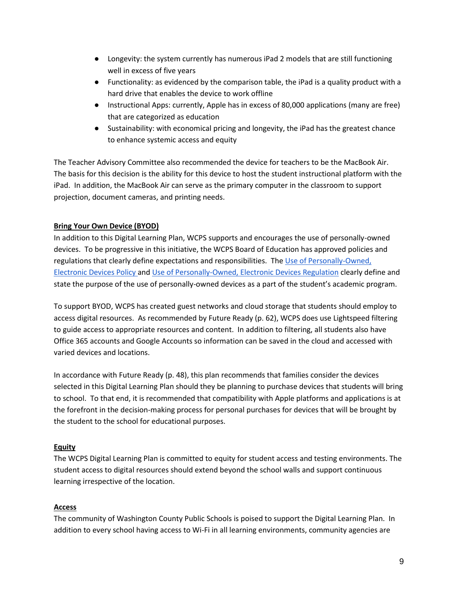- Longevity: the system currently has numerous iPad 2 models that are still functioning well in excess of five years
- Functionality: as evidenced by the comparison table, the iPad is a quality product with a hard drive that enables the device to work offline
- Instructional Apps: currently, Apple has in excess of 80,000 applications (many are free) that are categorized as education
- Sustainability: with economical pricing and longevity, the iPad has the greatest chance to enhance systemic access and equity

The Teacher Advisory Committee also recommended the device for teachers to be the MacBook Air. The basis for this decision is the ability for this device to host the student instructional platform with the iPad. In addition, the MacBook Air can serve as the primary computer in the classroom to support projection, document cameras, and printing needs.

# <span id="page-8-0"></span>**Bring Your Own Device (BYOD)**

In addition to this Digital Learning Plan, WCPS supports and encourages the use of personally-owned devices. To be progressive in this initiative, the WCPS Board of Education has approved policies and regulations that clearly define expectations and responsibilities. The [Use of Personally-Owned,](https://drive.google.com/a/wcboe.k12.md.us/file/d/0B_AonEtOoo-rYU00ZjFEemNnRWc/view?usp=sharing)  [Electronic Devices Policy a](https://drive.google.com/a/wcboe.k12.md.us/file/d/0B_AonEtOoo-rYU00ZjFEemNnRWc/view?usp=sharing)nd [Use of Personally-Owned, Electronic Devices Regulation](https://drive.google.com/a/wcboe.k12.md.us/file/d/0B_AonEtOoo-reVNOSjhKREQ2OEU/view?usp=sharing) clearly define and state the purpose of the use of personally-owned devices as a part of the student's academic program.

To support BYOD, WCPS has created guest networks and cloud storage that students should employ to access digital resources. As recommended by Future Ready (p. 62), WCPS does use Lightspeed filtering to guide access to appropriate resources and content. In addition to filtering, all students also have Office 365 accounts and Google Accounts so information can be saved in the cloud and accessed with varied devices and locations.

In accordance with Future Ready (p. 48), this plan recommends that families consider the devices selected in this Digital Learning Plan should they be planning to purchase devices that students will bring to school. To that end, it is recommended that compatibility with Apple platforms and applications is at the forefront in the decision-making process for personal purchases for devices that will be brought by the student to the school for educational purposes.

## <span id="page-8-1"></span>**Equity**

The WCPS Digital Learning Plan is committed to equity for student access and testing environments. The student access to digital resources should extend beyond the school walls and support continuous learning irrespective of the location.

#### <span id="page-8-2"></span>**Access**

The community of Washington County Public Schools is poised to support the Digital Learning Plan. In addition to every school having access to Wi-Fi in all learning environments, community agencies are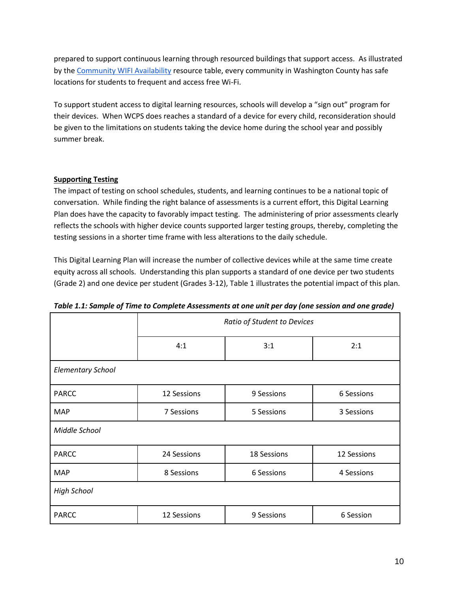prepared to support continuous learning through resourced buildings that support access. As illustrated by th[e Community WIFI Availability](https://docs.google.com/a/wcboe.k12.md.us/document/d/1QXtqzJzlfFOHEXXPFosaHEuz4SDTjKqaL4lcCpr3HDU/edit?usp=sharing) resource table, every community in Washington County has safe locations for students to frequent and access free Wi-Fi.

To support student access to digital learning resources, schools will develop a "sign out" program for their devices. When WCPS does reaches a standard of a device for every child, reconsideration should be given to the limitations on students taking the device home during the school year and possibly summer break.

## <span id="page-9-0"></span>**Supporting Testing**

The impact of testing on school schedules, students, and learning continues to be a national topic of conversation. While finding the right balance of assessments is a current effort, this Digital Learning Plan does have the capacity to favorably impact testing. The administering of prior assessments clearly reflects the schools with higher device counts supported larger testing groups, thereby, completing the testing sessions in a shorter time frame with less alterations to the daily schedule.

This Digital Learning Plan will increase the number of collective devices while at the same time create equity across all schools. Understanding this plan supports a standard of one device per two students (Grade 2) and one device per student (Grades 3-12), Table 1 illustrates the potential impact of this plan.

|                          | Ratio of Student to Devices |            |             |  |  |  |  |  |
|--------------------------|-----------------------------|------------|-------------|--|--|--|--|--|
|                          | 4:1                         | 3:1        | 2:1         |  |  |  |  |  |
| <b>Elementary School</b> |                             |            |             |  |  |  |  |  |
| <b>PARCC</b>             | 12 Sessions                 | 9 Sessions | 6 Sessions  |  |  |  |  |  |
| <b>MAP</b>               | 7 Sessions                  | 5 Sessions | 3 Sessions  |  |  |  |  |  |
| Middle School            |                             |            |             |  |  |  |  |  |
| <b>PARCC</b>             | 24 Sessions<br>18 Sessions  |            | 12 Sessions |  |  |  |  |  |
| <b>MAP</b>               | 8 Sessions                  | 6 Sessions | 4 Sessions  |  |  |  |  |  |
| <b>High School</b>       |                             |            |             |  |  |  |  |  |
| <b>PARCC</b>             | 12 Sessions                 | 9 Sessions | 6 Session   |  |  |  |  |  |

|  |  | (one session and one grade of Time to Complete Assessments at one unit per day (one session and one grade |
|--|--|-----------------------------------------------------------------------------------------------------------|
|  |  |                                                                                                           |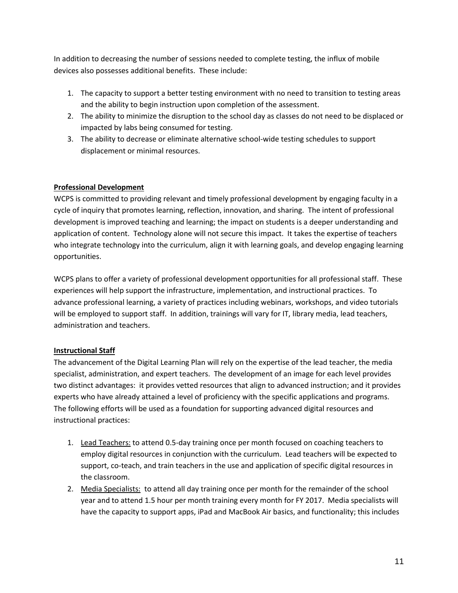In addition to decreasing the number of sessions needed to complete testing, the influx of mobile devices also possesses additional benefits. These include:

- 1. The capacity to support a better testing environment with no need to transition to testing areas and the ability to begin instruction upon completion of the assessment.
- 2. The ability to minimize the disruption to the school day as classes do not need to be displaced or impacted by labs being consumed for testing.
- 3. The ability to decrease or eliminate alternative school-wide testing schedules to support displacement or minimal resources.

# <span id="page-10-0"></span>**Professional Development**

WCPS is committed to providing relevant and timely professional development by engaging faculty in a cycle of inquiry that promotes learning, reflection, innovation, and sharing. The intent of professional development is improved teaching and learning; the impact on students is a deeper understanding and application of content. Technology alone will not secure this impact. It takes the expertise of teachers who integrate technology into the curriculum, align it with learning goals, and develop engaging learning opportunities.

WCPS plans to offer a variety of professional development opportunities for all professional staff. These experiences will help support the infrastructure, implementation, and instructional practices. To advance professional learning, a variety of practices including webinars, workshops, and video tutorials will be employed to support staff. In addition, trainings will vary for IT, library media, lead teachers, administration and teachers.

# <span id="page-10-1"></span>**Instructional Staff**

The advancement of the Digital Learning Plan will rely on the expertise of the lead teacher, the media specialist, administration, and expert teachers. The development of an image for each level provides two distinct advantages: it provides vetted resources that align to advanced instruction; and it provides experts who have already attained a level of proficiency with the specific applications and programs. The following efforts will be used as a foundation for supporting advanced digital resources and instructional practices:

- 1. Lead Teachers: to attend 0.5-day training once per month focused on coaching teachers to employ digital resources in conjunction with the curriculum. Lead teachers will be expected to support, co-teach, and train teachers in the use and application of specific digital resources in the classroom.
- 2. Media Specialists: to attend all day training once per month for the remainder of the school year and to attend 1.5 hour per month training every month for FY 2017. Media specialists will have the capacity to support apps, iPad and MacBook Air basics, and functionality; this includes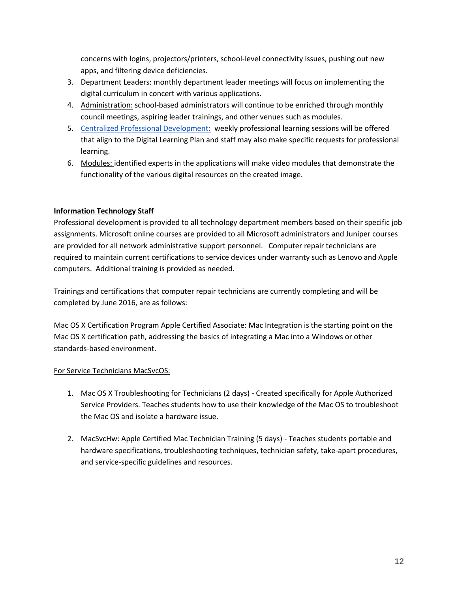concerns with logins, projectors/printers, school-level connectivity issues, pushing out new apps, and filtering device deficiencies.

- 3. Department Leaders: monthly department leader meetings will focus on implementing the digital curriculum in concert with various applications.
- 4. Administration: school-based administrators will continue to be enriched through monthly council meetings, aspiring leader trainings, and other venues such as modules.
- 5. [Centralized Professional Development:](https://sites.google.com/a/wcps.k12.md.us/wcpspd/) weekly professional learning sessions will be offered that align to the Digital Learning Plan and staff may also make specific requests for professional learning.
- 6. Modules: identified experts in the applications will make video modules that demonstrate the functionality of the various digital resources on the created image.

# <span id="page-11-0"></span>**Information Technology Staff**

Professional development is provided to all technology department members based on their specific job assignments. Microsoft online courses are provided to all Microsoft administrators and Juniper courses are provided for all network administrative support personnel. Computer repair technicians are required to maintain current certifications to service devices under warranty such as Lenovo and Apple computers. Additional training is provided as needed.

Trainings and certifications that computer repair technicians are currently completing and will be completed by June 2016, are as follows:

Mac OS X Certification Program Apple Certified Associate: Mac Integration is the starting point on the Mac OS X certification path, addressing the basics of integrating a Mac into a Windows or other standards-based environment.

## For Service Technicians MacSvcOS:

- 1. Mac OS X Troubleshooting for Technicians (2 days) Created specifically for Apple Authorized Service Providers. Teaches students how to use their knowledge of the Mac OS to troubleshoot the Mac OS and isolate a hardware issue.
- 2. MacSvcHw: Apple Certified Mac Technician Training (5 days) Teaches students portable and hardware specifications, troubleshooting techniques, technician safety, take-apart procedures, and service-specific guidelines and resources.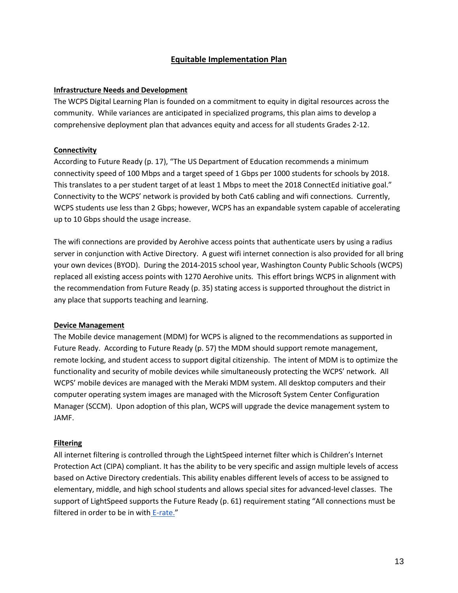# **Equitable Implementation Plan**

#### <span id="page-12-1"></span><span id="page-12-0"></span>**Infrastructure Needs and Development**

The WCPS Digital Learning Plan is founded on a commitment to equity in digital resources across the community. While variances are anticipated in specialized programs, this plan aims to develop a comprehensive deployment plan that advances equity and access for all students Grades 2-12.

#### <span id="page-12-2"></span>**Connectivity**

According to Future Ready (p. 17), "The US Department of Education recommends a minimum connectivity speed of 100 Mbps and a target speed of 1 Gbps per 1000 students for schools by 2018. This translates to a per student target of at least 1 Mbps to meet the 2018 ConnectEd initiative goal." Connectivity to the WCPS' network is provided by both Cat6 cabling and wifi connections. Currently, WCPS students use less than 2 Gbps; however, WCPS has an expandable system capable of accelerating up to 10 Gbps should the usage increase.

The wifi connections are provided by Aerohive access points that authenticate users by using a radius server in conjunction with Active Directory. A guest wifi internet connection is also provided for all bring your own devices (BYOD). During the 2014-2015 school year, Washington County Public Schools (WCPS) replaced all existing access points with 1270 Aerohive units. This effort brings WCPS in alignment with the recommendation from Future Ready (p. 35) stating access is supported throughout the district in any place that supports teaching and learning.

#### <span id="page-12-3"></span>**Device Management**

The Mobile device management (MDM) for WCPS is aligned to the recommendations as supported in Future Ready. According to Future Ready (p. 57) the MDM should support remote management, remote locking, and student access to support digital citizenship. The intent of MDM is to optimize the functionality and security of mobile devices while simultaneously protecting the WCPS' network. All WCPS' mobile devices are managed with the Meraki MDM system. All desktop computers and their computer operating system images are managed with the Microsoft System Center Configuration Manager (SCCM). Upon adoption of this plan, WCPS will upgrade the device management system to JAMF.

#### <span id="page-12-4"></span>**Filtering**

All internet filtering is controlled through the LightSpeed internet filter which is Children's Internet Protection Act (CIPA) compliant. It has the ability to be very specific and assign multiple levels of access based on Active Directory credentials. This ability enables different levels of access to be assigned to elementary, middle, and high school students and allows special sites for advanced-level classes. The support of LightSpeed supports the Future Ready (p. 61) requirement stating "All connections must be filtered in order to be in with [E-rate.](https://www.fcc.gov/guides/universal-service-program-schools-and-libraries)"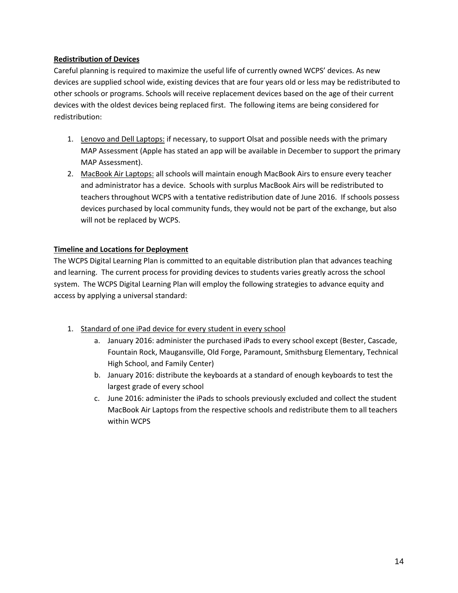## <span id="page-13-0"></span>**Redistribution of Devices**

Careful planning is required to maximize the useful life of currently owned WCPS' devices. As new devices are supplied school wide, existing devices that are four years old or less may be redistributed to other schools or programs. Schools will receive replacement devices based on the age of their current devices with the oldest devices being replaced first. The following items are being considered for redistribution:

- 1. Lenovo and Dell Laptops: if necessary, to support Olsat and possible needs with the primary MAP Assessment (Apple has stated an app will be available in December to support the primary MAP Assessment).
- 2. MacBook Air Laptops: all schools will maintain enough MacBook Airs to ensure every teacher and administrator has a device. Schools with surplus MacBook Airs will be redistributed to teachers throughout WCPS with a tentative redistribution date of June 2016. If schools possess devices purchased by local community funds, they would not be part of the exchange, but also will not be replaced by WCPS.

# <span id="page-13-1"></span>**Timeline and Locations for Deployment**

The WCPS Digital Learning Plan is committed to an equitable distribution plan that advances teaching and learning. The current process for providing devices to students varies greatly across the school system. The WCPS Digital Learning Plan will employ the following strategies to advance equity and access by applying a universal standard:

- 1. Standard of one iPad device for every student in every school
	- a. January 2016: administer the purchased iPads to every school except (Bester, Cascade, Fountain Rock, Maugansville, Old Forge, Paramount, Smithsburg Elementary, Technical High School, and Family Center)
	- b. January 2016: distribute the keyboards at a standard of enough keyboards to test the largest grade of every school
	- c. June 2016: administer the iPads to schools previously excluded and collect the student MacBook Air Laptops from the respective schools and redistribute them to all teachers within WCPS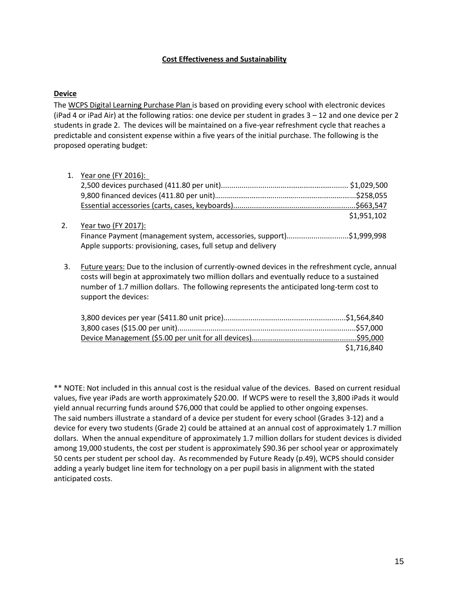#### **Cost Effectiveness and Sustainability**

#### <span id="page-14-0"></span>**Device**

The [WCPS Digital Learning Purchase Plan i](https://drive.google.com/a/wcboe.k12.md.us/file/d/0B_AonEtOoo-renh6LVlBeTRpdVU/view?usp=sharing)s based on providing every school with electronic devices (iPad 4 or iPad Air) at the following ratios: one device per student in grades 3 – 12 and one device per 2 students in grade 2. The devices will be maintained on a five-year refreshment cycle that reaches a predictable and consistent expense within a five years of the initial purchase. The following is the proposed operating budget:

|    | 1. Year one (FY 2016):                                                                                                                                                                                                                                                                                            |             |
|----|-------------------------------------------------------------------------------------------------------------------------------------------------------------------------------------------------------------------------------------------------------------------------------------------------------------------|-------------|
|    |                                                                                                                                                                                                                                                                                                                   | \$1,029,500 |
|    |                                                                                                                                                                                                                                                                                                                   |             |
|    |                                                                                                                                                                                                                                                                                                                   |             |
|    |                                                                                                                                                                                                                                                                                                                   | \$1,951,102 |
| 2. | Year two (FY 2017):                                                                                                                                                                                                                                                                                               |             |
|    | Finance Payment (management system, accessories, support)\$1,999,998                                                                                                                                                                                                                                              |             |
|    | Apple supports: provisioning, cases, full setup and delivery                                                                                                                                                                                                                                                      |             |
| 3. | Future years: Due to the inclusion of currently-owned devices in the refreshment cycle, annual<br>costs will begin at approximately two million dollars and eventually reduce to a sustained<br>number of 1.7 million dollars. The following represents the anticipated long-term cost to<br>support the devices: |             |
|    |                                                                                                                                                                                                                                                                                                                   |             |

| \$1,716,840 |
|-------------|

\*\* NOTE: Not included in this annual cost is the residual value of the devices. Based on current residual values, five year iPads are worth approximately \$20.00. If WCPS were to resell the 3,800 iPads it would yield annual recurring funds around \$76,000 that could be applied to other ongoing expenses. The said numbers illustrate a standard of a device per student for every school (Grades 3-12) and a device for every two students (Grade 2) could be attained at an annual cost of approximately 1.7 million dollars. When the annual expenditure of approximately 1.7 million dollars for student devices is divided among 19,000 students, the cost per student is approximately \$90.36 per school year or approximately 50 cents per student per school day. As recommended by Future Ready (p.49), WCPS should consider adding a yearly budget line item for technology on a per pupil basis in alignment with the stated anticipated costs.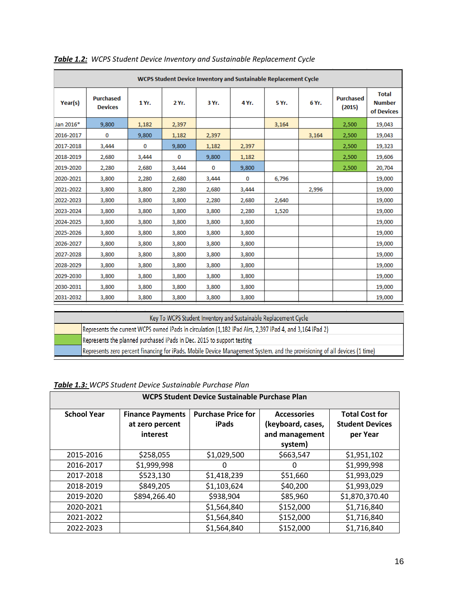| WCPS Student Device Inventory and Sustainable Replacement Cycle |                                    |       |       |       |       |       |       |                            |                                             |
|-----------------------------------------------------------------|------------------------------------|-------|-------|-------|-------|-------|-------|----------------------------|---------------------------------------------|
| Year(s)                                                         | <b>Purchased</b><br><b>Devices</b> | 1 Yr. | 2 Yr. | 3 Yr. | 4 Yr. | 5 Yr. | 6 Yr. | <b>Purchased</b><br>(2015) | <b>Total</b><br><b>Number</b><br>of Devices |
| Jan 2016*                                                       | 9,800                              | 1,182 | 2,397 |       |       | 3,164 |       | 2,500                      | 19,043                                      |
| 2016-2017                                                       | 0                                  | 9,800 | 1,182 | 2,397 |       |       | 3,164 | 2,500                      | 19,043                                      |
| 2017-2018                                                       | 3,444                              | 0     | 9,800 | 1,182 | 2,397 |       |       | 2,500                      | 19,323                                      |
| 2018-2019                                                       | 2,680                              | 3,444 | 0     | 9,800 | 1,182 |       |       | 2,500                      | 19,606                                      |
| 2019-2020                                                       | 2,280                              | 2,680 | 3,444 | 0     | 9,800 |       |       | 2,500                      | 20,704                                      |
| 2020-2021                                                       | 3,800                              | 2,280 | 2,680 | 3,444 | 0     | 6,796 |       |                            | 19,000                                      |
| 2021-2022                                                       | 3,800                              | 3,800 | 2,280 | 2,680 | 3,444 |       | 2,996 |                            | 19,000                                      |
| 2022-2023                                                       | 3,800                              | 3,800 | 3,800 | 2,280 | 2,680 | 2,640 |       |                            | 19,000                                      |
| 2023-2024                                                       | 3,800                              | 3,800 | 3,800 | 3,800 | 2,280 | 1,520 |       |                            | 19,000                                      |
| 2024-2025                                                       | 3,800                              | 3,800 | 3,800 | 3,800 | 3,800 |       |       |                            | 19,000                                      |
| 2025-2026                                                       | 3,800                              | 3,800 | 3,800 | 3,800 | 3,800 |       |       |                            | 19,000                                      |
| 2026-2027                                                       | 3,800                              | 3,800 | 3,800 | 3,800 | 3,800 |       |       |                            | 19,000                                      |
| 2027-2028                                                       | 3,800                              | 3,800 | 3,800 | 3,800 | 3,800 |       |       |                            | 19,000                                      |
| 2028-2029                                                       | 3,800                              | 3,800 | 3,800 | 3,800 | 3,800 |       |       |                            | 19,000                                      |
| 2029-2030                                                       | 3,800                              | 3,800 | 3,800 | 3,800 | 3,800 |       |       |                            | 19,000                                      |
| 2030-2031                                                       | 3,800                              | 3,800 | 3,800 | 3,800 | 3,800 |       |       |                            | 19,000                                      |
| 2031-2032                                                       | 3,800                              | 3,800 | 3,800 | 3,800 | 3,800 |       |       |                            | 19,000                                      |

*Table 1.2: WCPS Student Device Inventory and Sustainable Replacement Cycle*

| Key To WCPS Student Inventory and Sustainable Replacement Cycle                                                            |  |  |  |  |  |  |
|----------------------------------------------------------------------------------------------------------------------------|--|--|--|--|--|--|
| Represents the current WCPS owned iPads in circulation (1,182 iPad Airs, 2,397 iPad 4, and 3,164 iPad 2)                   |  |  |  |  |  |  |
| Represents the planned purchased iPads in Dec. 2015 to support testing                                                     |  |  |  |  |  |  |
| Represents zero percent financing for iPads, Mobile Device Management System, and the provisioning of all devices (1 time) |  |  |  |  |  |  |

*Table 1.3: WCPS Student Device Sustainable Purchase Plan*

| WCPS Student Device Sustainable Purchase Plan |                                                        |                                    |                                                                      |                                                             |  |  |  |
|-----------------------------------------------|--------------------------------------------------------|------------------------------------|----------------------------------------------------------------------|-------------------------------------------------------------|--|--|--|
| <b>School Year</b>                            | <b>Finance Payments</b><br>at zero percent<br>interest | <b>Purchase Price for</b><br>iPads | <b>Accessories</b><br>(keyboard, cases,<br>and management<br>system) | <b>Total Cost for</b><br><b>Student Devices</b><br>per Year |  |  |  |
| 2015-2016                                     | \$258,055                                              | \$1,029,500                        | \$663,547                                                            | \$1,951,102                                                 |  |  |  |
| 2016-2017                                     | \$1,999,998                                            | O                                  | 0                                                                    | \$1,999,998                                                 |  |  |  |
| 2017-2018                                     | \$523,130                                              | \$1,418,239                        | \$51,660                                                             | \$1,993,029                                                 |  |  |  |
| 2018-2019                                     | \$849,205                                              | \$1,103,624                        | \$40,200                                                             | \$1,993,029                                                 |  |  |  |
| 2019-2020                                     | \$894,266.40                                           | \$938,904                          | \$85,960                                                             | \$1,870,370.40                                              |  |  |  |
| 2020-2021                                     |                                                        | \$1,564,840                        | \$152,000                                                            | \$1,716,840                                                 |  |  |  |
| 2021-2022                                     |                                                        | \$1,564,840                        | \$152,000                                                            | \$1,716,840                                                 |  |  |  |
| 2022-2023                                     |                                                        | \$1,564,840                        | \$152,000                                                            | \$1,716,840                                                 |  |  |  |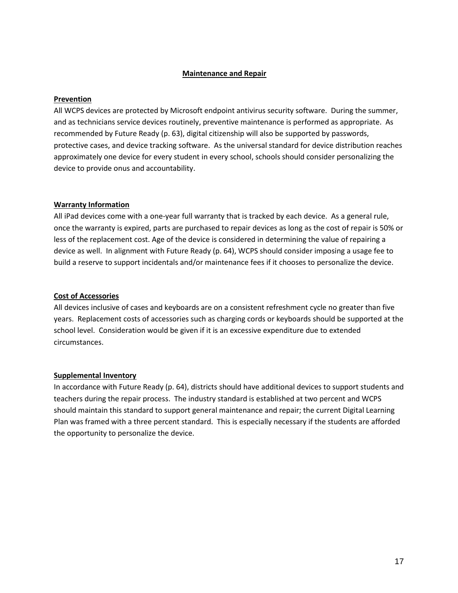#### **Maintenance and Repair**

#### <span id="page-16-1"></span><span id="page-16-0"></span>**Prevention**

All WCPS devices are protected by Microsoft endpoint antivirus security software. During the summer, and as technicians service devices routinely, preventive maintenance is performed as appropriate. As recommended by Future Ready (p. 63), digital citizenship will also be supported by passwords, protective cases, and device tracking software. As the universal standard for device distribution reaches approximately one device for every student in every school, schools should consider personalizing the device to provide onus and accountability.

#### <span id="page-16-2"></span>**Warranty Information**

All iPad devices come with a one-year full warranty that is tracked by each device. As a general rule, once the warranty is expired, parts are purchased to repair devices as long as the cost of repair is 50% or less of the replacement cost. Age of the device is considered in determining the value of repairing a device as well. In alignment with Future Ready (p. 64), WCPS should consider imposing a usage fee to build a reserve to support incidentals and/or maintenance fees if it chooses to personalize the device.

#### **Cost of Accessories**

All devices inclusive of cases and keyboards are on a consistent refreshment cycle no greater than five years. Replacement costs of accessories such as charging cords or keyboards should be supported at the school level. Consideration would be given if it is an excessive expenditure due to extended circumstances.

#### **Supplemental Inventory**

In accordance with Future Ready (p. 64), districts should have additional devices to support students and teachers during the repair process. The industry standard is established at two percent and WCPS should maintain this standard to support general maintenance and repair; the current Digital Learning Plan was framed with a three percent standard. This is especially necessary if the students are afforded the opportunity to personalize the device.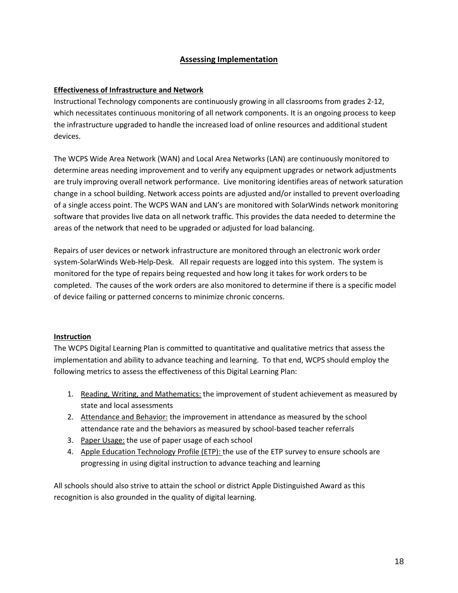# **Assessing Implementation**

## <span id="page-17-1"></span><span id="page-17-0"></span>**Effectiveness of Infrastructure and Network**

Instructional Technology components are continuously growing in all classrooms from grades 2-12, which necessitates continuous monitoring of all network components. It is an ongoing process to keep the infrastructure upgraded to handle the increased load of online resources and additional student devices.

The WCPS Wide Area Network (WAN) and Local Area Networks (LAN) are continuously monitored to determine areas needing improvement and to verify any equipment upgrades or network adjustments are truly improving overall network performance. Live monitoring identifies areas of network saturation change in a school building. Network access points are adjusted and/or installed to prevent overloading of a single access point. The WCPS WAN and LAN's are monitored with SolarWinds network monitoring software that provides live data on all network traffic. This provides the data needed to determine the areas of the network that need to be upgraded or adjusted for load balancing.

Repairs of user devices or network infrastructure are monitored through an electronic work order system-SolarWinds Web-Help-Desk. All repair requests are logged into this system. The system is monitored for the type of repairs being requested and how long it takes for work orders to be completed. The causes of the work orders are also monitored to determine if there is a specific model of device failing or patterned concerns to minimize chronic concerns.

#### <span id="page-17-2"></span>**Instruction**

The WCPS Digital Learning Plan is committed to quantitative and qualitative metrics that assess the implementation and ability to advance teaching and learning. To that end, WCPS should employ the following metrics to assess the effectiveness of this Digital Learning Plan:

- 1. Reading, Writing, and Mathematics: the improvement of student achievement as measured by state and local assessments
- 2. Attendance and Behavior: the improvement in attendance as measured by the school attendance rate and the behaviors as measured by school-based teacher referrals
- 3. Paper Usage: the use of paper usage of each school
- 4. Apple Education Technology Profile (ETP): the use of the ETP survey to ensure schools are progressing in using digital instruction to advance teaching and learning

All schools should also strive to attain the school or district Apple Distinguished Award as this recognition is also grounded in the quality of digital learning.